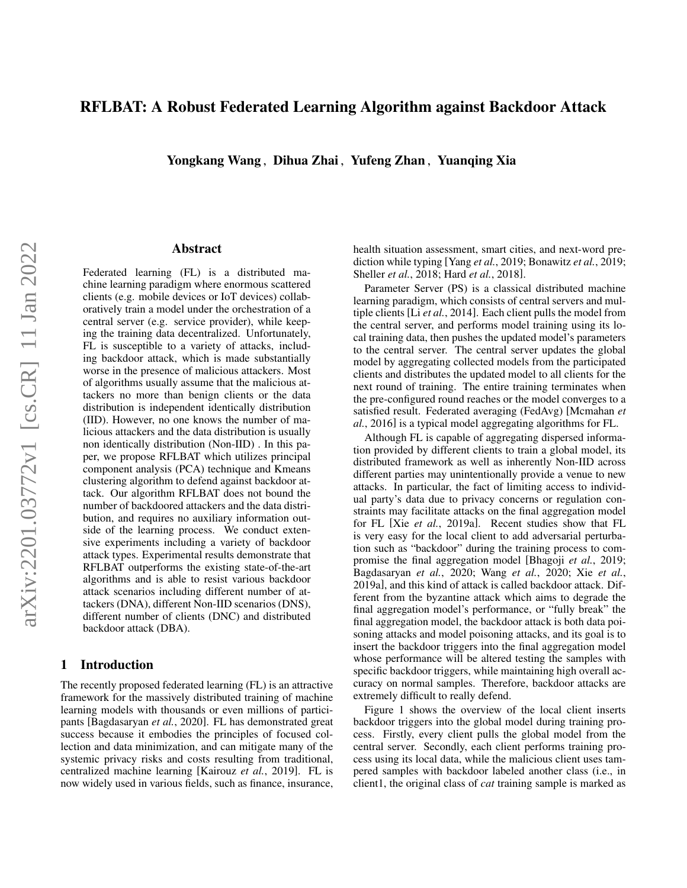# RFLBAT: A Robust Federated Learning Algorithm against Backdoor Attack

Yongkang Wang , Dihua Zhai , Yufeng Zhan , Yuanqing Xia

### Abstract

Federated learning (FL) is a distributed machine learning paradigm where enormous scattered clients (e.g. mobile devices or IoT devices) collaboratively train a model under the orchestration of a central server (e.g. service provider), while keeping the training data decentralized. Unfortunately, FL is susceptible to a variety of attacks, including backdoor attack, which is made substantially worse in the presence of malicious attackers. Most of algorithms usually assume that the malicious attackers no more than benign clients or the data distribution is independent identically distribution (IID). However, no one knows the number of malicious attackers and the data distribution is usually non identically distribution (Non-IID) . In this paper, we propose RFLBAT which utilizes principal component analysis (PCA) technique and Kmeans clustering algorithm to defend against backdoor attack. Our algorithm RFLBAT does not bound the number of backdoored attackers and the data distribution, and requires no auxiliary information outside of the learning process. We conduct extensive experiments including a variety of backdoor attack types. Experimental results demonstrate that RFLBAT outperforms the existing state-of-the-art algorithms and is able to resist various backdoor attack scenarios including different number of attackers (DNA), different Non-IID scenarios (DNS), different number of clients (DNC) and distributed backdoor attack (DBA).

## <span id="page-0-0"></span>1 Introduction

The recently proposed federated learning (FL) is an attractive framework for the massively distributed training of machine learning models with thousands or even millions of participants [\[Bagdasaryan](#page-11-0) *et al.*, 2020]. FL has demonstrated great success because it embodies the principles of focused collection and data minimization, and can mitigate many of the systemic privacy risks and costs resulting from traditional, centralized machine learning [\[Kairouz](#page-11-1) *et al.*, 2019]. FL is now widely used in various fields, such as finance, insurance, health situation assessment, smart cities, and next-word prediction while typing [Yang *et al.*[, 2019;](#page-12-0) [Bonawitz](#page-11-2) *et al.*, 2019; [Sheller](#page-12-1) *et al.*, 2018; Hard *et al.*[, 2018\]](#page-11-3).

Parameter Server (PS) is a classical distributed machine learning paradigm, which consists of central servers and multiple clients [Li *et al.*[, 2014\]](#page-11-4). Each client pulls the model from the central server, and performs model training using its local training data, then pushes the updated model's parameters to the central server. The central server updates the global model by aggregating collected models from the participated clients and distributes the updated model to all clients for the next round of training. The entire training terminates when the pre-configured round reaches or the model converges to a satisfied result. Federated averaging (FedAvg) [\[Mcmahan](#page-11-5) *et al.*[, 2016\]](#page-11-5) is a typical model aggregating algorithms for FL.

Although FL is capable of aggregating dispersed information provided by different clients to train a global model, its distributed framework as well as inherently Non-IID across different parties may unintentionally provide a venue to new attacks. In particular, the fact of limiting access to individual party's data due to privacy concerns or regulation constraints may facilitate attacks on the final aggregation model for FL [Xie *et al.*[, 2019a\]](#page-12-2). Recent studies show that FL is very easy for the local client to add adversarial perturbation such as "backdoor" during the training process to compromise the final aggregation model [\[Bhagoji](#page-11-6) *et al.*, 2019; [Bagdasaryan](#page-11-0) *et al.*, 2020; Wang *et al.*[, 2020;](#page-12-3) Xie *[et al.](#page-12-2)*, [2019a\]](#page-12-2), and this kind of attack is called backdoor attack. Different from the byzantine attack which aims to degrade the final aggregation model's performance, or "fully break" the final aggregation model, the backdoor attack is both data poisoning attacks and model poisoning attacks, and its goal is to insert the backdoor triggers into the final aggregation model whose performance will be altered testing the samples with specific backdoor triggers, while maintaining high overall accuracy on normal samples. Therefore, backdoor attacks are extremely difficult to really defend.

Figure [1](#page-1-0) shows the overview of the local client inserts backdoor triggers into the global model during training process. Firstly, every client pulls the global model from the central server. Secondly, each client performs training process using its local data, while the malicious client uses tampered samples with backdoor labeled another class (i.e., in client1, the original class of *cat* training sample is marked as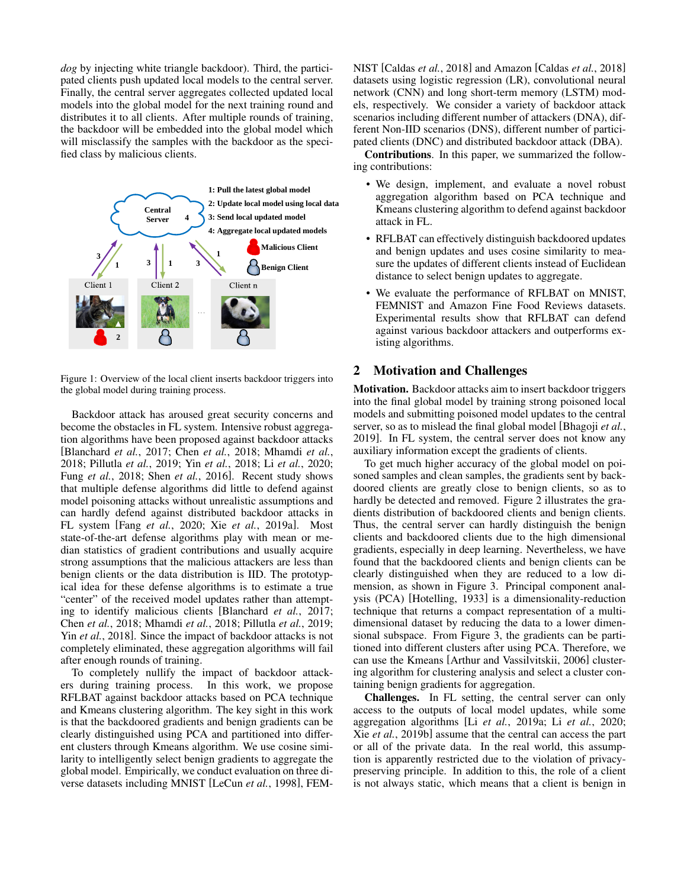*dog* by injecting white triangle backdoor). Third, the participated clients push updated local models to the central server. Finally, the central server aggregates collected updated local models into the global model for the next training round and distributes it to all clients. After multiple rounds of training, the backdoor will be embedded into the global model which will misclassify the samples with the backdoor as the specified class by malicious clients.

<span id="page-1-0"></span>

Figure 1: Overview of the local client inserts backdoor triggers into the global model during training process.

Backdoor attack has aroused great security concerns and become the obstacles in FL system. Intensive robust aggregation algorithms have been proposed against backdoor attacks [\[Blanchard](#page-11-7) *et al.*, 2017; Chen *et al.*[, 2018;](#page-11-8) [Mhamdi](#page-12-4) *et al.*, [2018;](#page-12-4) [Pillutla](#page-12-5) *et al.*, 2019; Yin *et al.*[, 2018;](#page-12-6) Li *et al.*[, 2020;](#page-11-9) Fung *et al.*[, 2018;](#page-11-10) Shen *et al.*[, 2016\]](#page-12-7). Recent study shows that multiple defense algorithms did little to defend against model poisoning attacks without unrealistic assumptions and can hardly defend against distributed backdoor attacks in FL system [Fang *et al.*[, 2020;](#page-11-11) Xie *et al.*[, 2019a\]](#page-12-2). Most state-of-the-art defense algorithms play with mean or median statistics of gradient contributions and usually acquire strong assumptions that the malicious attackers are less than benign clients or the data distribution is IID. The prototypical idea for these defense algorithms is to estimate a true "center" of the received model updates rather than attempting to identify malicious clients [\[Blanchard](#page-11-7) *et al.*, 2017; Chen *et al.*[, 2018;](#page-11-8) [Mhamdi](#page-12-4) *et al.*, 2018; [Pillutla](#page-12-5) *et al.*, 2019; Yin *et al.*[, 2018\]](#page-12-6). Since the impact of backdoor attacks is not completely eliminated, these aggregation algorithms will fail after enough rounds of training.

To completely nullify the impact of backdoor attackers during training process. In this work, we propose RFLBAT against backdoor attacks based on PCA technique and Kmeans clustering algorithm. The key sight in this work is that the backdoored gradients and benign gradients can be clearly distinguished using PCA and partitioned into different clusters through Kmeans algorithm. We use cosine similarity to intelligently select benign gradients to aggregate the global model. Empirically, we conduct evaluation on three diverse datasets including MNIST [\[LeCun](#page-11-12) *et al.*, 1998], FEM- NIST [\[Caldas](#page-11-13) *et al.*, 2018] and Amazon [\[Caldas](#page-11-13) *et al.*, 2018] datasets using logistic regression (LR), convolutional neural network (CNN) and long short-term memory (LSTM) models, respectively. We consider a variety of backdoor attack scenarios including different number of attackers (DNA), different Non-IID scenarios (DNS), different number of participated clients (DNC) and distributed backdoor attack (DBA).

Contributions. In this paper, we summarized the following contributions:

- We design, implement, and evaluate a novel robust aggregation algorithm based on PCA technique and Kmeans clustering algorithm to defend against backdoor attack in FL.
- RFLBAT can effectively distinguish backdoored updates and benign updates and uses cosine similarity to measure the updates of different clients instead of Euclidean distance to select benign updates to aggregate.
- We evaluate the performance of RFLBAT on MNIST, FEMNIST and Amazon Fine Food Reviews datasets. Experimental results show that RFLBAT can defend against various backdoor attackers and outperforms existing algorithms.

## 2 Motivation and Challenges

Motivation. Backdoor attacks aim to insert backdoor triggers into the final global model by training strong poisoned local models and submitting poisoned model updates to the central server, so as to mislead the final global model [\[Bhagoji](#page-11-6) *et al.*, [2019\]](#page-11-6). In FL system, the central server does not know any auxiliary information except the gradients of clients.

To get much higher accuracy of the global model on poisoned samples and clean samples, the gradients sent by backdoored clients are greatly close to benign clients, so as to hardly be detected and removed. Figure [2](#page-2-0) illustrates the gradients distribution of backdoored clients and benign clients. Thus, the central server can hardly distinguish the benign clients and backdoored clients due to the high dimensional gradients, especially in deep learning. Nevertheless, we have found that the backdoored clients and benign clients can be clearly distinguished when they are reduced to a low dimension, as shown in Figure [3.](#page-2-1) Principal component analysis (PCA) [\[Hotelling, 1933\]](#page-11-14) is a dimensionality-reduction technique that returns a compact representation of a multidimensional dataset by reducing the data to a lower dimensional subspace. From Figure [3,](#page-2-1) the gradients can be partitioned into different clusters after using PCA. Therefore, we can use the Kmeans [\[Arthur and Vassilvitskii, 2006\]](#page-11-15) clustering algorithm for clustering analysis and select a cluster containing benign gradients for aggregation.

Challenges. In FL setting, the central server can only access to the outputs of local model updates, while some aggregation algorithms [Li *et al.*[, 2019a;](#page-11-16) Li *et al.*[, 2020;](#page-11-9) Xie *et al.*[, 2019b\]](#page-12-8) assume that the central can access the part or all of the private data. In the real world, this assumption is apparently restricted due to the violation of privacypreserving principle. In addition to this, the role of a client is not always static, which means that a client is benign in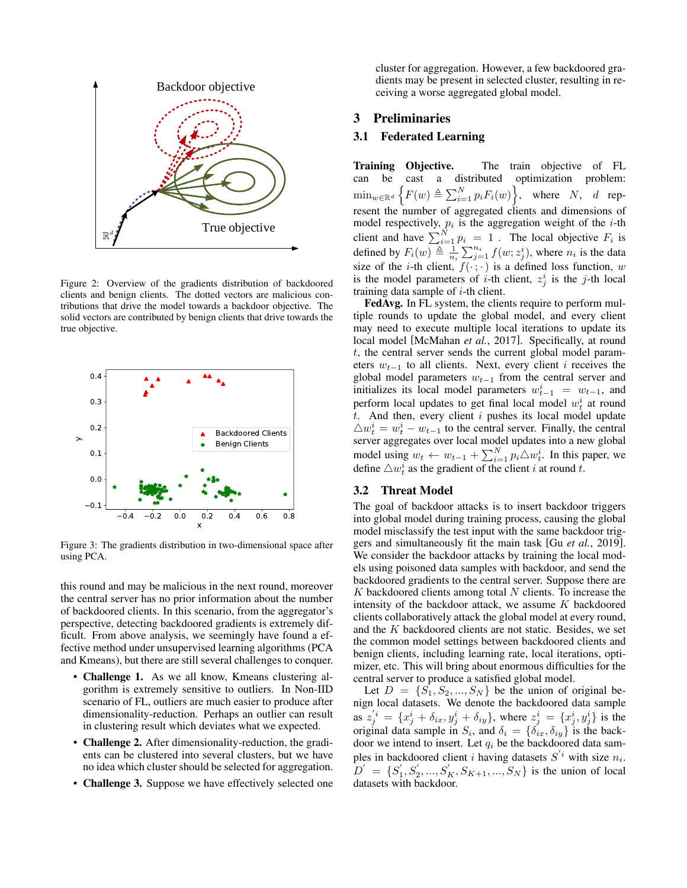<span id="page-2-0"></span>

Figure 2: Overview of the gradients distribution of backdoored clients and benign clients. The dotted vectors are malicious contributions that drive the model towards a backdoor objective. The solid vectors are contributed by benign clients that drive towards the true objective.

<span id="page-2-1"></span>

Figure 3: The gradients distribution in two-dimensional space after using PCA.

this round and may be malicious in the next round, moreover the central server has no prior information about the number of backdoored clients. In this scenario, from the aggregator's perspective, detecting backdoored gradients is extremely difficult. From above analysis, we seemingly have found a effective method under unsupervised learning algorithms (PCA and Kmeans), but there are still several challenges to conquer.

- Challenge 1. As we all know, Kmeans clustering algorithm is extremely sensitive to outliers. In Non-IID scenario of FL, outliers are much easier to produce after dimensionality-reduction. Perhaps an outlier can result in clustering result which deviates what we expected.
- **Challenge 2.** After dimensionality-reduction, the gradients can be clustered into several clusters, but we have no idea which cluster should be selected for aggregation.
- Challenge 3. Suppose we have effectively selected one

cluster for aggregation. However, a few backdoored gradients may be present in selected cluster, resulting in receiving a worse aggregated global model.

### 3 Preliminaries

## 3.1 Federated Learning

**Training Objective.** The train objective of FL can be cast a distributed optimization problem: cast a distributed optimization problem:  $\min_{w \in \mathbb{R}^d} \left\{ F(w) \triangleq \sum_{i=1}^N p_i F_i(w) \right\}$ , where N, d represent the number of aggregated clients and dimensions of model respectively,  $p_i$  is the aggregation weight of the *i*-th client and have  $\sum_{i=1}^{N} p_i = 1$ . The local objective  $F_i$  is defined by  $F_i(w) \triangleq \frac{1}{n_i} \sum_{j=1}^{n_i} f(w; z_j^i)$ , where  $n_i$  is the data size of the *i*-th client,  $f(\cdot; \cdot)$  is a defined loss function, w is the model parameters of *i*-th client,  $z_j^i$  is the *j*-th local training data sample of  $i$ -th client.

FedAvg. In FL system, the clients require to perform multiple rounds to update the global model, and every client may need to execute multiple local iterations to update its local model [\[McMahan](#page-11-17) *et al.*, 2017]. Specifically, at round t, the central server sends the current global model parameters  $w_{t-1}$  to all clients. Next, every client *i* receives the global model parameters  $w_{t-1}$  from the central server and initializes its local model parameters  $w_{t-1}^i = w_{t-1}$ , and perform local updates to get final local model  $w_t^i$  at round  $t$ . And then, every client  $i$  pushes its local model update  $\triangle w_t^i = w_t^i - w_{t-1}$  to the central server. Finally, the central server aggregates over local model updates into a new global model using  $w_t \leftarrow w_{t-1} + \sum_{i=1}^{N} p_i \triangle w_t^i$ . In this paper, we define  $\triangle w_t^i$  as the gradient of the client i at round t.

### 3.2 Threat Model

The goal of backdoor attacks is to insert backdoor triggers into global model during training process, causing the global model misclassify the test input with the same backdoor triggers and simultaneously fit the main task [Gu *et al.*[, 2019\]](#page-11-18). We consider the backdoor attacks by training the local models using poisoned data samples with backdoor, and send the backdoored gradients to the central server. Suppose there are  $K$  backdoored clients among total  $N$  clients. To increase the intensity of the backdoor attack, we assume  $K$  backdoored clients collaboratively attack the global model at every round, and the K backdoored clients are not static. Besides, we set the common model settings between backdoored clients and benign clients, including learning rate, local iterations, optimizer, etc. This will bring about enormous difficulties for the central server to produce a satisfied global model.

Let  $D = \{S_1, S_2, ..., S_N\}$  be the union of original benign local datasets. We denote the backdoored data sample as  $z_j^{'i} = \{x_j^i + \delta_{ix}, y_j^i + \delta_{iy}\}\$ , where  $z_j^i = \{x_j^i, y_j^i\}$  is the original data sample in  $S_i$ , and  $\delta_i = {\delta_{ix}, \delta_{iy}}$  is the backdoor we intend to insert. Let  $q_i$  be the backdoored data samples in backdoored client *i* having datasets  $S^{'i}$  with size  $n_i$ .  $D' = \{S'_1, S'_2, ..., S'_K, S_{K+1}, ..., S_N\}$  is the union of local datasets with backdoor.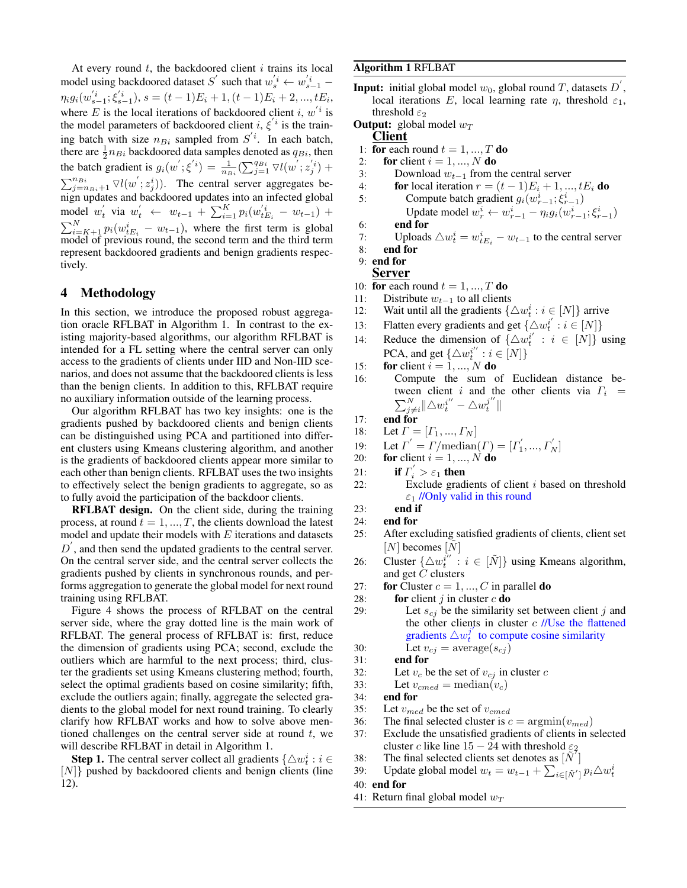At every round  $t$ , the backdoored client  $i$  trains its local model using backdoored dataset S' such that  $w_s^i \leftarrow w_{s-1}^i$  $\eta_i g_i(w_{s-1}^{'i}; \xi_{s-1}^{'i}), s = (t-1)E_i + 1, (t-1)E_i + 2, ..., tE_i,$ where E is the local iterations of backdoored client i,  $w'$  is the model parameters of backdoored client  $i, \xi'$  is the training batch with size  $n_{Bi}$  sampled from  $S^{i}$ . In each batch, there are  $\frac{1}{2}n_{Bi}$  backdoored data samples denoted as  $q_{Bi}$ , then 2 the batch gradient is  $g_i(w'; \xi^{i}) = \frac{1}{n_{Bi}} \left( \sum_{j=1}^{q_{Bi}} \nabla l(w'; z_j^{'i}) + \right)$  $\sum_{j=n_{Bi}+1}^{n_{Bi}} \nabla l(w'; z_j^i)$ . The central server aggregates benign updates and backdoored updates into an infected global model  $w'_t$  via  $w'_t \leftarrow w_{t-1} + \sum_{i=1}^K p_i(w'_{t_{t_i}}^i - w_{t-1}) +$  $\sum_{i=K+1}^{N} p_i(w_{tE_i}^i - w_{t-1})$ , where the first term is global model of previous round, the second term and the third term represent backdoored gradients and benign gradients respectively.

### 4 Methodology

In this section, we introduce the proposed robust aggregation oracle RFLBAT in Algorithm [1.](#page-3-0) In contrast to the existing majority-based algorithms, our algorithm RFLBAT is intended for a FL setting where the central server can only access to the gradients of clients under IID and Non-IID scenarios, and does not assume that the backdoored clients is less than the benign clients. In addition to this, RFLBAT require no auxiliary information outside of the learning process.

Our algorithm RFLBAT has two key insights: one is the gradients pushed by backdoored clients and benign clients can be distinguished using PCA and partitioned into different clusters using Kmeans clustering algorithm, and another is the gradients of backdoored clients appear more similar to each other than benign clients. RFLBAT uses the two insights to effectively select the benign gradients to aggregate, so as to fully avoid the participation of the backdoor clients.

RFLBAT design. On the client side, during the training process, at round  $t = 1, ..., T$ , the clients download the latest model and update their models with  $E$  iterations and datasets  $D^{'}$ , and then send the updated gradients to the central server. On the central server side, and the central server collects the gradients pushed by clients in synchronous rounds, and performs aggregation to generate the global model for next round training using RFLBAT.

Figure [4](#page-4-0) shows the process of RFLBAT on the central server side, where the gray dotted line is the main work of RFLBAT. The general process of RFLBAT is: first, reduce the dimension of gradients using PCA; second, exclude the outliers which are harmful to the next process; third, cluster the gradients set using Kmeans clustering method; fourth, select the optimal gradients based on cosine similarity; fifth, exclude the outliers again; finally, aggregate the selected gradients to the global model for next round training. To clearly clarify how RFLBAT works and how to solve above mentioned challenges on the central server side at round  $t$ , we will describe RFLBAT in detail in Algorithm [1.](#page-3-0)

**Step 1.** The central server collect all gradients  $\{\triangle w_t^i : i \in \mathbb{R}\}$ [N]} pushed by backdoored clients and benign clients (line 12).

### <span id="page-3-0"></span>Algorithm 1 RFLBAT

**Input:** initial global model  $w_0$ , global round T, datasets  $D'$ , local iterations E, local learning rate  $\eta$ , threshold  $\varepsilon_1$ , threshold  $\varepsilon_2$ 

**Output:** global model  $w_T$ 

### Client

- 1: for each round  $t = 1, ..., T$  do
- 2: for client  $i = 1, ..., N$  do
- 3: Download  $w_{t-1}$  from the central server
- 4: **for** local iteration  $r = (t-1)E_i + 1, ..., tE_i$  **do**
- 5: Compute batch gradient  $g_i(w_{r-1}^i; \xi_{r-1}^i)$

```
Update model w_r^i \leftarrow w_{r-1}^i - \eta_i g_i(w_{r-1}^i; \xi_{r-1}^i)
```
- 6: end for
- 7: Uploads  $\triangle w_t^i = w_{t}^i w_{t-1}$  to the central server

```
8: end for
```
- 9: end for
- Server
- 10: for each round  $t = 1, ..., T$  do
- 11: Distribute  $w_{t-1}$  to all clients
- 12: Wait until all the gradients  $\{\triangle w_t^i : i \in [N]\}$  arrive
- 13: Flatten every gradients and get  $\{\triangle w_i^{i'} : i \in [N]\}$
- 14: Reduce the dimension of  $\{\triangle w_i^{i'} : i \in [N]\}$  using PCA, and get  $\{\triangle w_i^{i''} : i \in [N]\}$
- 15: for client  $i = 1, ..., N$  do
- 16: Compute the sum of Euclidean distance between client i and the other clients via  $\Gamma_i$  =  $\sum_{j\neq i}^{N} \|\triangle w_i^{i''} - \triangle w_i^{j''}\|$
- 17: end for
- 18: Let  $\Gamma = [r_1, ..., r_N]$
- 19: Let  $\Gamma' = \Gamma/\text{median}(\Gamma) = [\Gamma'_1, ..., \Gamma'_N]$
- 20: for client  $i = 1, ..., N$  do
- 21: if  $\Gamma'_i > \varepsilon_1$  then
- 22: Exclude gradients of client  $i$  based on threshold  $\varepsilon_1$  //Only valid in this round
- 23: end if
- 24: end for
- 25: After excluding satisfied gradients of clients, client set  $[N]$  becomes  $[N]$
- 26: Cluster  $\{\triangle w_i^{i''}: i \in [\tilde{N}]\}$  using Kmeans algorithm, and get C clusters
- 27: for Cluster  $c = 1, ..., C$  in parallel do
- 28: for client j in cluster  $c$  do
- 29: Let  $s_{cj}$  be the similarity set between client j and the other clients in cluster  $c$  //Use the flattened gradients  $\triangle w_i^{j'}$  to compute cosine similarity 30: Let  $v_{cj} = \text{average}(s_{cj})$
- 31: end for
- 32: Let  $v_c$  be the set of  $v_{cj}$  in cluster  $c$
- 33: Let  $v_{cmed} = \text{median}(v_c)$
- 34: end for
- 35: Let  $v_{med}$  be the set of  $v_{cmed}$
- 36: The final selected cluster is  $c = \text{argmin}(v_{med})$
- 37: Exclude the unsatisfied gradients of clients in selected cluster c like line  $15 - 24$  with threshold  $\varepsilon_2$
- 38: The final selected clients set denotes as  $[\tilde{N}^{\dagger}]$
- 39: Update global model  $w_t = w_{t-1} + \sum_{i \in [\tilde{N}']} p_i \triangle w_t^i$
- 40: end for
- 41: Return final global model  $w_T$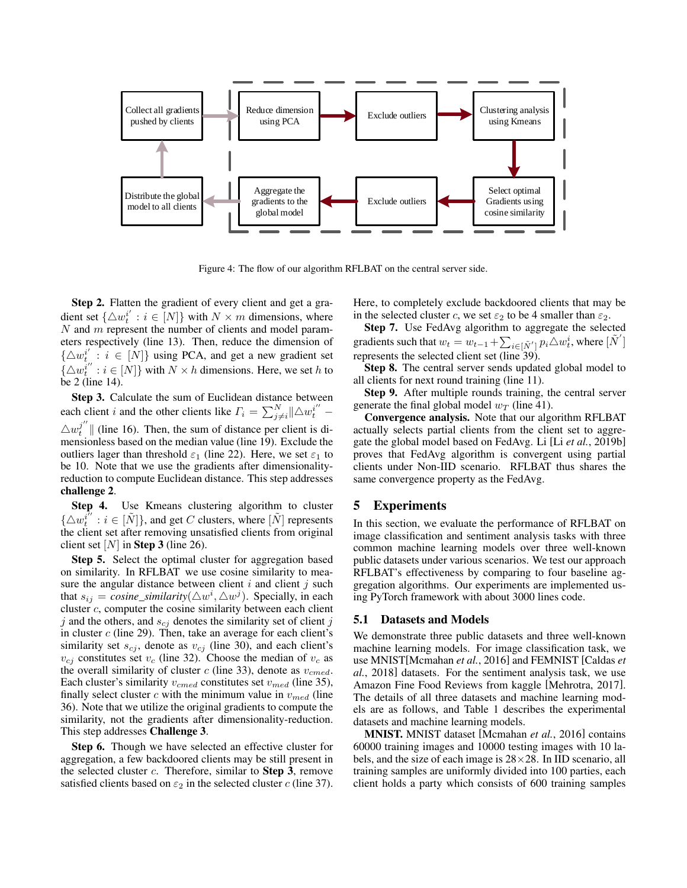<span id="page-4-0"></span>

Figure 4: The flow of our algorithm RFLBAT on the central server side.

Step 2. Flatten the gradient of every client and get a gradient set  $\{\triangle w_i^{i'} : i \in [N]\}$  with  $N \times m$  dimensions, where  $N$  and  $m$  represent the number of clients and model parameters respectively (line 13). Then, reduce the dimension of  $\{\triangle w_t^{i'} : i \in [N]\}$  using PCA, and get a new gradient set  $\{\triangle w_i^{i''}: i \in [N]\}$  with  $N \times h$  dimensions. Here, we set h to be 2 (line 14).

Step 3. Calculate the sum of Euclidean distance between each client *i* and the other clients like  $\Gamma_i = \sum_{j \neq i}^{N} ||\triangle w_i^{i'}||$  $\Delta w_t^{j''}$  (line 16). Then, the sum of distance per client is dimensionless based on the median value (line 19). Exclude the outliers lager than threshold  $\varepsilon_1$  (line 22). Here, we set  $\varepsilon_1$  to be 10. Note that we use the gradients after dimensionalityreduction to compute Euclidean distance. This step addresses challenge 2.

Step 4. Use Kmeans clustering algorithm to cluster  $\{\triangle w_i^{i'} : i \in [\tilde{N}]\}\$ , and get C clusters, where  $[\tilde{N}]$  represents the client set after removing unsatisfied clients from original client set  $[N]$  in Step 3 (line 26).

Step 5. Select the optimal cluster for aggregation based on similarity. In RFLBAT we use cosine similarity to measure the angular distance between client  $i$  and client  $j$  such that  $s_{ij} = \text{cosine\_similarity}(\triangle w^i, \triangle w^j)$ . Specially, in each cluster  $c$ , computer the cosine similarity between each client  $j$  and the others, and  $s_{cj}$  denotes the similarity set of client  $j$ in cluster  $c$  (line 29). Then, take an average for each client's similarity set  $s_{cj}$ , denote as  $v_{cj}$  (line 30), and each client's  $v_{cj}$  constitutes set  $v_c$  (line 32). Choose the median of  $v_c$  as the overall similarity of cluster  $c$  (line 33), denote as  $v_{cmed}$ . Each cluster's similarity  $v_{cmed}$  constitutes set  $v_{med}$  (line 35), finally select cluster c with the minimum value in  $v_{med}$  (line 36). Note that we utilize the original gradients to compute the similarity, not the gradients after dimensionality-reduction. This step addresses Challenge 3.

Step 6. Though we have selected an effective cluster for aggregation, a few backdoored clients may be still present in the selected cluster  $c$ . Therefore, similar to **Step 3**, remove satisfied clients based on  $\varepsilon_2$  in the selected cluster c (line 37). Here, to completely exclude backdoored clients that may be in the selected cluster c, we set  $\varepsilon_2$  to be 4 smaller than  $\varepsilon_2$ .

Step 7. Use FedAvg algorithm to aggregate the selected gradients such that  $w_t = w_{t-1} + \sum_{i \in [\tilde{N}']}\tilde{p}_i \triangle w_t^i$ , where  $[\tilde{N}']$ represents the selected client set (line 39).

Step 8. The central server sends updated global model to all clients for next round training (line 11).

Step 9. After multiple rounds training, the central server generate the final global model  $w_T$  (line 41).

Convergence analysis. Note that our algorithm RFLBAT actually selects partial clients from the client set to aggregate the global model based on FedAvg. Li [Li *et al.*[, 2019b\]](#page-11-19) proves that FedAvg algorithm is convergent using partial clients under Non-IID scenario. RFLBAT thus shares the same convergence property as the FedAvg.

## 5 Experiments

In this section, we evaluate the performance of RFLBAT on image classification and sentiment analysis tasks with three common machine learning models over three well-known public datasets under various scenarios. We test our approach RFLBAT's effectiveness by comparing to four baseline aggregation algorithms. Our experiments are implemented using PyTorch framework with about 3000 lines code.

### 5.1 Datasets and Models

We demonstrate three public datasets and three well-known machine learning models. For image classification task, we use MNIST[\[Mcmahan](#page-11-5) *et al.*, 2016] and FEMNIST [\[Caldas](#page-11-13) *et al.*[, 2018\]](#page-11-13) datasets. For the sentiment analysis task, we use Amazon Fine Food Reviews from kaggle [\[Mehrotra, 2017\]](#page-12-9). The details of all three datasets and machine learning models are as follows, and Table [1](#page-5-0) describes the experimental datasets and machine learning models.

MNIST. MNIST dataset [\[Mcmahan](#page-11-5) *et al.*, 2016] contains 60000 training images and 10000 testing images with 10 labels, and the size of each image is  $28\times28$ . In IID scenario, all training samples are uniformly divided into 100 parties, each client holds a party which consists of 600 training samples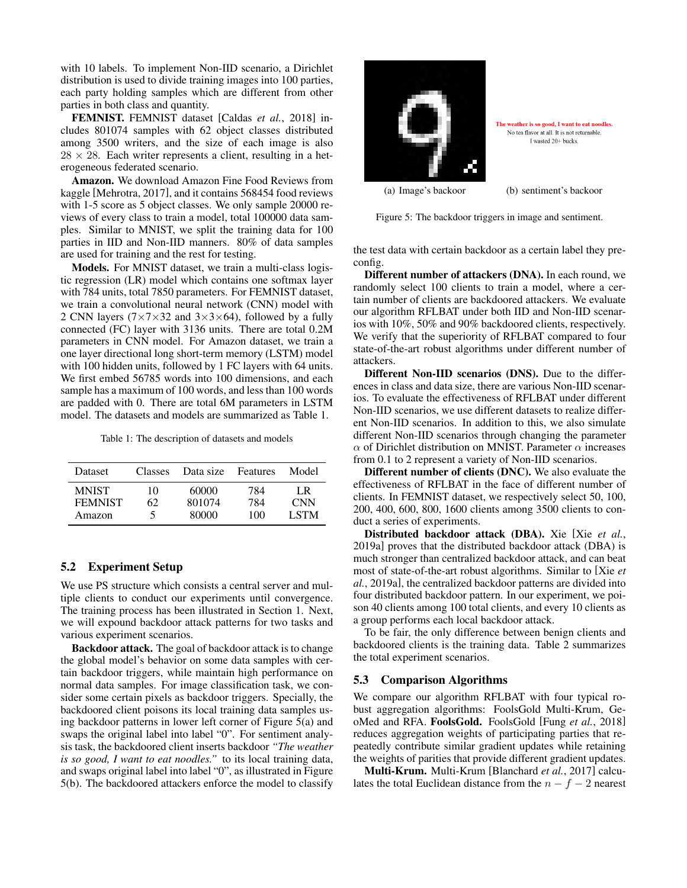with 10 labels. To implement Non-IID scenario, a Dirichlet distribution is used to divide training images into 100 parties, each party holding samples which are different from other parties in both class and quantity.

FEMNIST. FEMNIST dataset [Caldas *et al.*[, 2018\]](#page-11-13) includes 801074 samples with 62 object classes distributed among 3500 writers, and the size of each image is also  $28 \times 28$ . Each writer represents a client, resulting in a heterogeneous federated scenario.

Amazon. We download Amazon Fine Food Reviews from kaggle [\[Mehrotra, 2017\]](#page-12-9), and it contains 568454 food reviews with 1-5 score as 5 object classes. We only sample 20000 reviews of every class to train a model, total 100000 data samples. Similar to MNIST, we split the training data for 100 parties in IID and Non-IID manners. 80% of data samples are used for training and the rest for testing.

Models. For MNIST dataset, we train a multi-class logistic regression (LR) model which contains one softmax layer with 784 units, total 7850 parameters. For FEMNIST dataset, we train a convolutional neural network (CNN) model with 2 CNN layers  $(7 \times 7 \times 32$  and  $3 \times 3 \times 64$ ), followed by a fully connected (FC) layer with 3136 units. There are total 0.2M parameters in CNN model. For Amazon dataset, we train a one layer directional long short-term memory (LSTM) model with 100 hidden units, followed by 1 FC layers with 64 units. We first embed 56785 words into 100 dimensions, and each sample has a maximum of 100 words, and less than 100 words are padded with 0. There are total 6M parameters in LSTM model. The datasets and models are summarized as Table [1.](#page-5-0)

Table 1: The description of datasets and models

<span id="page-5-0"></span>

| Dataset        | Classes | Data size | Features | Model       |
|----------------|---------|-----------|----------|-------------|
| <b>MNIST</b>   | 10      | 60000     | 784      | LR.         |
| <b>FEMNIST</b> | 62      | 801074    | 784      | <b>CNN</b>  |
| Amazon         | ╮       | 80000     | 100      | <b>LSTM</b> |

### 5.2 Experiment Setup

We use PS structure which consists a central server and multiple clients to conduct our experiments until convergence. The training process has been illustrated in Section [1.](#page-0-0) Next, we will expound backdoor attack patterns for two tasks and various experiment scenarios.

Backdoor attack. The goal of backdoor attack is to change the global model's behavior on some data samples with certain backdoor triggers, while maintain high performance on normal data samples. For image classification task, we consider some certain pixels as backdoor triggers. Specially, the backdoored client poisons its local training data samples using backdoor patterns in lower left corner of Figure [5\(a\)](#page-5-1) and swaps the original label into label "0". For sentiment analysis task, the backdoored client inserts backdoor *"The weather is so good, I want to eat noodles."* to its local training data, and swaps original label into label "0", as illustrated in Figure [5\(b\).](#page-5-2) The backdoored attackers enforce the model to classify

<span id="page-5-1"></span>

The weather is so good, I want to eat noodles No tea flavor at all. It is not returnable. I wasted 20+ bucks

<span id="page-5-2"></span>(a) Image's backoor (b) sentiment's backoor

Figure 5: The backdoor triggers in image and sentiment.

the test data with certain backdoor as a certain label they preconfig.

Different number of attackers (DNA). In each round, we randomly select 100 clients to train a model, where a certain number of clients are backdoored attackers. We evaluate our algorithm RFLBAT under both IID and Non-IID scenarios with 10%, 50% and 90% backdoored clients, respectively. We verify that the superiority of RFLBAT compared to four state-of-the-art robust algorithms under different number of attackers.

Different Non-IID scenarios (DNS). Due to the differences in class and data size, there are various Non-IID scenarios. To evaluate the effectiveness of RFLBAT under different Non-IID scenarios, we use different datasets to realize different Non-IID scenarios. In addition to this, we also simulate different Non-IID scenarios through changing the parameter  $\alpha$  of Dirichlet distribution on MNIST. Parameter  $\alpha$  increases from 0.1 to 2 represent a variety of Non-IID scenarios.

Different number of clients (DNC). We also evaluate the effectiveness of RFLBAT in the face of different number of clients. In FEMNIST dataset, we respectively select 50, 100, 200, 400, 600, 800, 1600 clients among 3500 clients to conduct a series of experiments.

Distributed backdoor attack (DBA). Xie [Xie *[et al.](#page-12-2)*, [2019a\]](#page-12-2) proves that the distributed backdoor attack (DBA) is much stronger than centralized backdoor attack, and can beat most of state-of-the-art robust algorithms. Similar to [\[Xie](#page-12-2) *et al.*[, 2019a\]](#page-12-2), the centralized backdoor patterns are divided into four distributed backdoor pattern. In our experiment, we poison 40 clients among 100 total clients, and every 10 clients as a group performs each local backdoor attack.

To be fair, the only difference between benign clients and backdoored clients is the training data. Table [2](#page-6-0) summarizes the total experiment scenarios.

### 5.3 Comparison Algorithms

We compare our algorithm RFLBAT with four typical robust aggregation algorithms: FoolsGold Multi-Krum, GeoMed and RFA. FoolsGold. FoolsGold [Fung *et al.*[, 2018\]](#page-11-10) reduces aggregation weights of participating parties that repeatedly contribute similar gradient updates while retaining the weights of parities that provide different gradient updates.

Multi-Krum. Multi-Krum [\[Blanchard](#page-11-7) *et al.*, 2017] calculates the total Euclidean distance from the  $n - f - 2$  nearest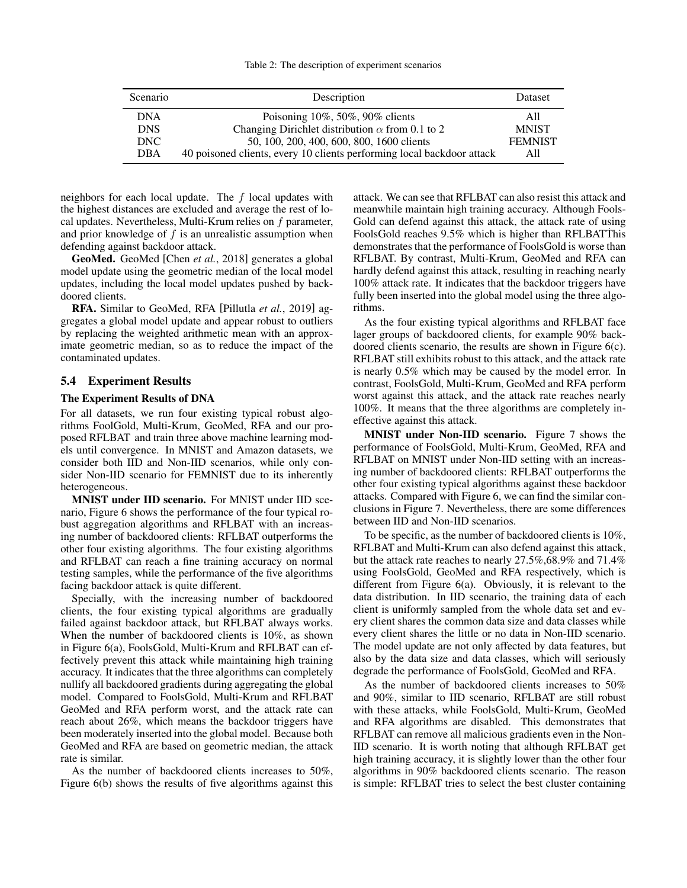<span id="page-6-0"></span>

| Scenario   | Description                                                            | <b>Dataset</b> |
|------------|------------------------------------------------------------------------|----------------|
| <b>DNA</b> | Poisoning $10\%$ , 50%, 90% clients                                    | A11            |
| <b>DNS</b> | Changing Dirichlet distribution $\alpha$ from 0.1 to 2                 | <b>MNIST</b>   |
| DNC.       | 50, 100, 200, 400, 600, 800, 1600 clients                              | <b>FEMNIST</b> |
| <b>DBA</b> | 40 poisoned clients, every 10 clients performing local backdoor attack | All            |

neighbors for each local update. The  $f$  local updates with the highest distances are excluded and average the rest of local updates. Nevertheless, Multi-Krum relies on f parameter, and prior knowledge of  $f$  is an unrealistic assumption when defending against backdoor attack.

GeoMed. GeoMed [Chen *et al.*[, 2018\]](#page-11-8) generates a global model update using the geometric median of the local model updates, including the local model updates pushed by backdoored clients.

RFA. Similar to GeoMed, RFA [\[Pillutla](#page-12-5) *et al.*, 2019] aggregates a global model update and appear robust to outliers by replacing the weighted arithmetic mean with an approximate geometric median, so as to reduce the impact of the contaminated updates.

### 5.4 Experiment Results

### The Experiment Results of DNA

For all datasets, we run four existing typical robust algorithms FoolGold, Multi-Krum, GeoMed, RFA and our proposed RFLBAT and train three above machine learning models until convergence. In MNIST and Amazon datasets, we consider both IID and Non-IID scenarios, while only consider Non-IID scenario for FEMNIST due to its inherently heterogeneous.

MNIST under IID scenario. For MNIST under IID scenario, Figure [6](#page-7-0) shows the performance of the four typical robust aggregation algorithms and RFLBAT with an increasing number of backdoored clients: RFLBAT outperforms the other four existing algorithms. The four existing algorithms and RFLBAT can reach a fine training accuracy on normal testing samples, while the performance of the five algorithms facing backdoor attack is quite different.

Specially, with the increasing number of backdoored clients, the four existing typical algorithms are gradually failed against backdoor attack, but RFLBAT always works. When the number of backdoored clients is 10%, as shown in Figure [6\(a\),](#page-7-1) FoolsGold, Multi-Krum and RFLBAT can effectively prevent this attack while maintaining high training accuracy. It indicates that the three algorithms can completely nullify all backdoored gradients during aggregating the global model. Compared to FoolsGold, Multi-Krum and RFLBAT GeoMed and RFA perform worst, and the attack rate can reach about 26%, which means the backdoor triggers have been moderately inserted into the global model. Because both GeoMed and RFA are based on geometric median, the attack rate is similar.

As the number of backdoored clients increases to 50%, Figure [6\(b\)](#page-7-2) shows the results of five algorithms against this attack. We can see that RFLBAT can also resist this attack and meanwhile maintain high training accuracy. Although Fools-Gold can defend against this attack, the attack rate of using FoolsGold reaches  $9.5\%$  which is higher than RFLBATThis demonstrates that the performance of FoolsGold is worse than RFLBAT. By contrast, Multi-Krum, GeoMed and RFA can hardly defend against this attack, resulting in reaching nearly 100% attack rate. It indicates that the backdoor triggers have fully been inserted into the global model using the three algorithms.

As the four existing typical algorithms and RFLBAT face lager groups of backdoored clients, for example 90% backdoored clients scenario, the results are shown in Figure [6\(c\).](#page-7-3) RFLBAT still exhibits robust to this attack, and the attack rate is nearly 0.5% which may be caused by the model error. In contrast, FoolsGold, Multi-Krum, GeoMed and RFA perform worst against this attack, and the attack rate reaches nearly 100%. It means that the three algorithms are completely ineffective against this attack.

MNIST under Non-IID scenario. Figure [7](#page-7-4) shows the performance of FoolsGold, Multi-Krum, GeoMed, RFA and RFLBAT on MNIST under Non-IID setting with an increasing number of backdoored clients: RFLBAT outperforms the other four existing typical algorithms against these backdoor attacks. Compared with Figure [6,](#page-7-0) we can find the similar conclusions in Figure [7.](#page-7-4) Nevertheless, there are some differences between IID and Non-IID scenarios.

To be specific, as the number of backdoored clients is 10%, RFLBAT and Multi-Krum can also defend against this attack, but the attack rate reaches to nearly 27.5%,68.9% and 71.4% using FoolsGold, GeoMed and RFA respectively, which is different from Figure [6\(a\).](#page-7-1) Obviously, it is relevant to the data distribution. In IID scenario, the training data of each client is uniformly sampled from the whole data set and every client shares the common data size and data classes while every client shares the little or no data in Non-IID scenario. The model update are not only affected by data features, but also by the data size and data classes, which will seriously degrade the performance of FoolsGold, GeoMed and RFA.

As the number of backdoored clients increases to 50% and 90%, similar to IID scenario, RFLBAT are still robust with these attacks, while FoolsGold, Multi-Krum, GeoMed and RFA algorithms are disabled. This demonstrates that RFLBAT can remove all malicious gradients even in the Non-IID scenario. It is worth noting that although RFLBAT get high training accuracy, it is slightly lower than the other four algorithms in 90% backdoored clients scenario. The reason is simple: RFLBAT tries to select the best cluster containing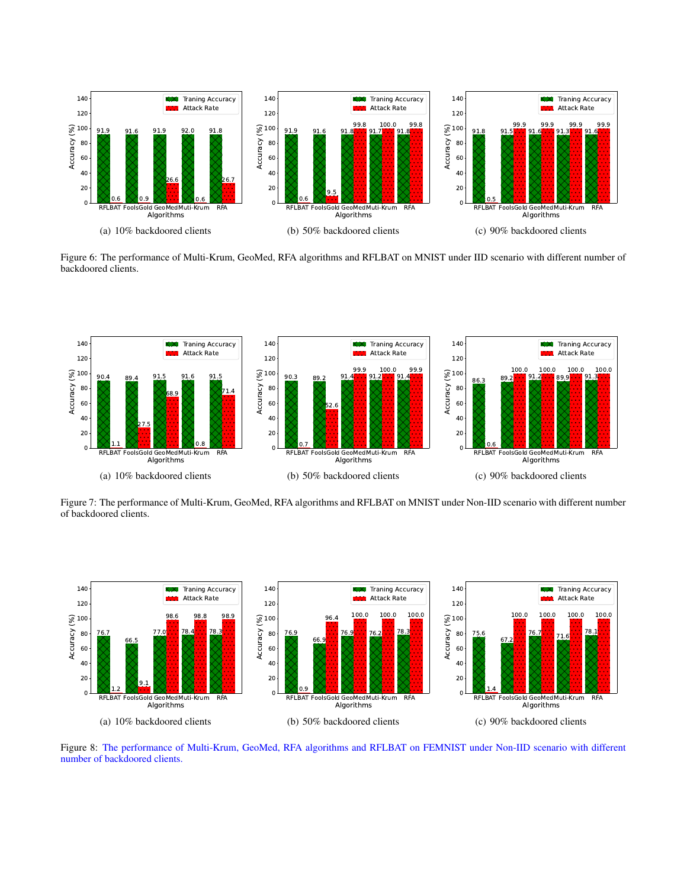<span id="page-7-1"></span><span id="page-7-0"></span>

<span id="page-7-3"></span><span id="page-7-2"></span>Figure 6: The performance of Multi-Krum, GeoMed, RFA algorithms and RFLBAT on MNIST under IID scenario with different number of backdoored clients.

<span id="page-7-4"></span>

Figure 7: The performance of Multi-Krum, GeoMed, RFA algorithms and RFLBAT on MNIST under Non-IID scenario with different number of backdoored clients.

<span id="page-7-5"></span>

Figure 8: The performance of Multi-Krum, GeoMed, RFA algorithms and RFLBAT on FEMNIST under Non-IID scenario with different number of backdoored clients.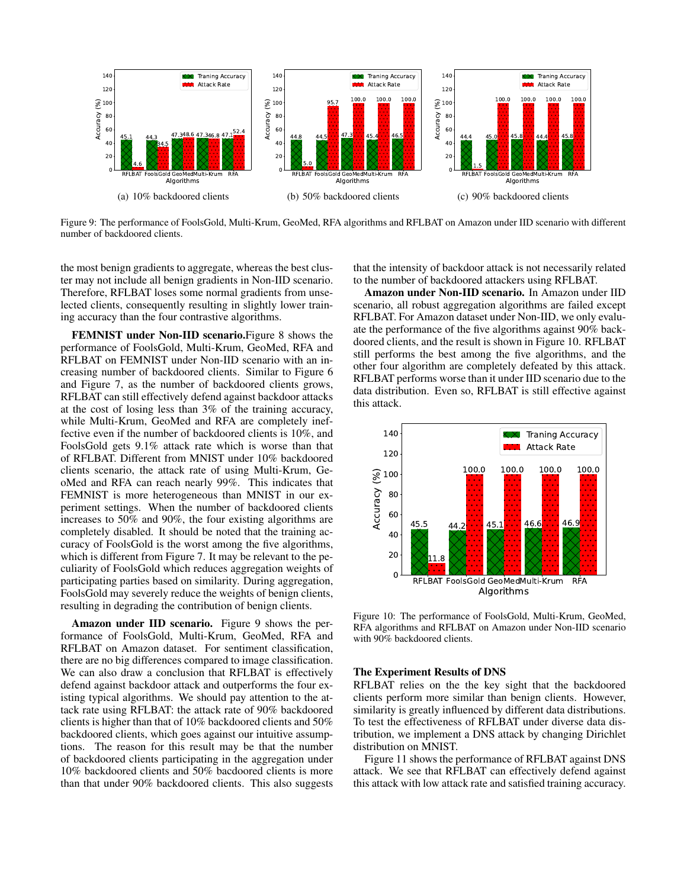<span id="page-8-0"></span>

Figure 9: The performance of FoolsGold, Multi-Krum, GeoMed, RFA algorithms and RFLBAT on Amazon under IID scenario with different number of backdoored clients.

the most benign gradients to aggregate, whereas the best cluster may not include all benign gradients in Non-IID scenario. Therefore, RFLBAT loses some normal gradients from unselected clients, consequently resulting in slightly lower training accuracy than the four contrastive algorithms.

FEMNIST under Non-IID scenario.Figure [8](#page-7-5) shows the performance of FoolsGold, Multi-Krum, GeoMed, RFA and RFLBAT on FEMNIST under Non-IID scenario with an increasing number of backdoored clients. Similar to Figure [6](#page-7-0) and Figure [7,](#page-7-4) as the number of backdoored clients grows, RFLBAT can still effectively defend against backdoor attacks at the cost of losing less than 3% of the training accuracy, while Multi-Krum, GeoMed and RFA are completely ineffective even if the number of backdoored clients is 10%, and FoolsGold gets 9.1% attack rate which is worse than that of RFLBAT. Different from MNIST under 10% backdoored clients scenario, the attack rate of using Multi-Krum, GeoMed and RFA can reach nearly 99%. This indicates that FEMNIST is more heterogeneous than MNIST in our experiment settings. When the number of backdoored clients increases to 50% and 90%, the four existing algorithms are completely disabled. It should be noted that the training accuracy of FoolsGold is the worst among the five algorithms, which is different from Figure [7.](#page-7-4) It may be relevant to the peculiarity of FoolsGold which reduces aggregation weights of participating parties based on similarity. During aggregation, FoolsGold may severely reduce the weights of benign clients, resulting in degrading the contribution of benign clients.

Amazon under IID scenario. Figure [9](#page-8-0) shows the performance of FoolsGold, Multi-Krum, GeoMed, RFA and RFLBAT on Amazon dataset. For sentiment classification, there are no big differences compared to image classification. We can also draw a conclusion that RFLBAT is effectively defend against backdoor attack and outperforms the four existing typical algorithms. We should pay attention to the attack rate using RFLBAT: the attack rate of 90% backdoored clients is higher than that of 10% backdoored clients and 50% backdoored clients, which goes against our intuitive assumptions. The reason for this result may be that the number of backdoored clients participating in the aggregation under 10% backdoored clients and 50% bacdoored clients is more than that under 90% backdoored clients. This also suggests that the intensity of backdoor attack is not necessarily related to the number of backdoored attackers using RFLBAT.

Amazon under Non-IID scenario. In Amazon under IID scenario, all robust aggregation algorithms are failed except RFLBAT. For Amazon dataset under Non-IID, we only evaluate the performance of the five algorithms against 90% backdoored clients, and the result is shown in Figure [10.](#page-8-1) RFLBAT still performs the best among the five algorithms, and the other four algorithm are completely defeated by this attack. RFLBAT performs worse than it under IID scenario due to the data distribution. Even so, RFLBAT is still effective against this attack.

<span id="page-8-1"></span>

Figure 10: The performance of FoolsGold, Multi-Krum, GeoMed, RFA algorithms and RFLBAT on Amazon under Non-IID scenario with 90% backdoored clients.

### The Experiment Results of DNS

RFLBAT relies on the the key sight that the backdoored clients perform more similar than benign clients. However, similarity is greatly influenced by different data distributions. To test the effectiveness of RFLBAT under diverse data distribution, we implement a DNS attack by changing Dirichlet distribution on MNIST.

Figure [11](#page-9-0) shows the performance of RFLBAT against DNS attack. We see that RFLBAT can effectively defend against this attack with low attack rate and satisfied training accuracy.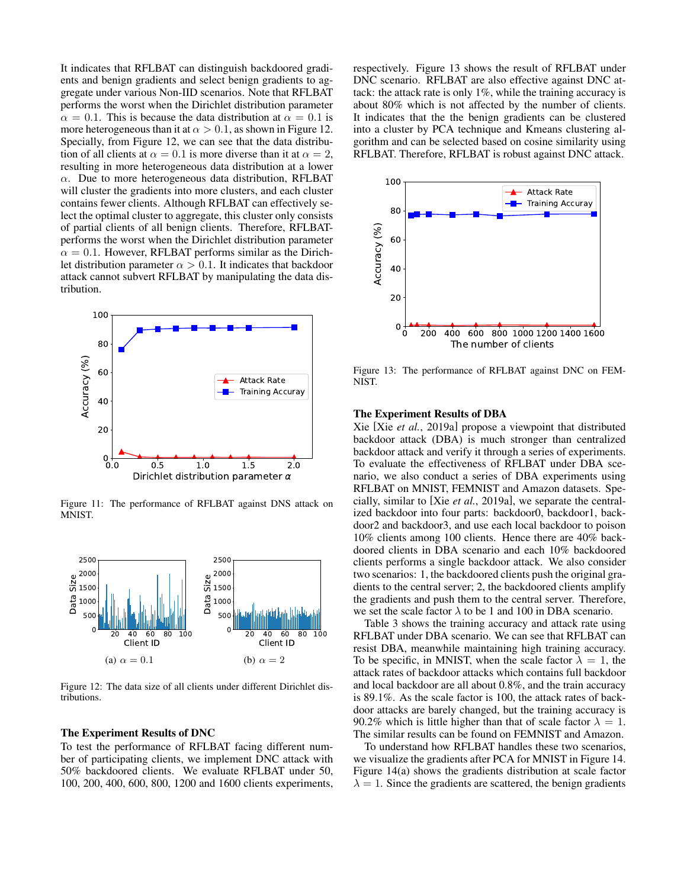It indicates that RFLBAT can distinguish backdoored gradients and benign gradients and select benign gradients to aggregate under various Non-IID scenarios. Note that RFLBAT performs the worst when the Dirichlet distribution parameter  $\alpha = 0.1$ . This is because the data distribution at  $\alpha = 0.1$  is more heterogeneous than it at  $\alpha > 0.1$ , as shown in Figure [12.](#page-9-1) Specially, from Figure [12,](#page-9-1) we can see that the data distribution of all clients at  $\alpha = 0.1$  is more diverse than it at  $\alpha = 2$ , resulting in more heterogeneous data distribution at a lower  $\alpha$ . Due to more heterogeneous data distribution, RFLBAT will cluster the gradients into more clusters, and each cluster contains fewer clients. Although RFLBAT can effectively select the optimal cluster to aggregate, this cluster only consists of partial clients of all benign clients. Therefore, RFLBATperforms the worst when the Dirichlet distribution parameter  $\alpha = 0.1$ . However, RFLBAT performs similar as the Dirichlet distribution parameter  $\alpha > 0.1$ . It indicates that backdoor attack cannot subvert RFLBAT by manipulating the data distribution.

<span id="page-9-0"></span>

Figure 11: The performance of RFLBAT against DNS attack on MNIST.

<span id="page-9-1"></span>

Figure 12: The data size of all clients under different Dirichlet distributions.

#### The Experiment Results of DNC

To test the performance of RFLBAT facing different number of participating clients, we implement DNC attack with 50% backdoored clients. We evaluate RFLBAT under 50, 100, 200, 400, 600, 800, 1200 and 1600 clients experiments, respectively. Figure [13](#page-9-2) shows the result of RFLBAT under DNC scenario. RFLBAT are also effective against DNC attack: the attack rate is only 1%, while the training accuracy is about 80% which is not affected by the number of clients. It indicates that the the benign gradients can be clustered into a cluster by PCA technique and Kmeans clustering algorithm and can be selected based on cosine similarity using RFLBAT. Therefore, RFLBAT is robust against DNC attack.

<span id="page-9-2"></span>

Figure 13: The performance of RFLBAT against DNC on FEM-NIST.

### The Experiment Results of DBA

Xie [Xie *et al.*[, 2019a\]](#page-12-2) propose a viewpoint that distributed backdoor attack (DBA) is much stronger than centralized backdoor attack and verify it through a series of experiments. To evaluate the effectiveness of RFLBAT under DBA scenario, we also conduct a series of DBA experiments using RFLBAT on MNIST, FEMNIST and Amazon datasets. Specially, similar to [Xie *et al.*[, 2019a\]](#page-12-2), we separate the centralized backdoor into four parts: backdoor0, backdoor1, backdoor2 and backdoor3, and use each local backdoor to poison 10% clients among 100 clients. Hence there are 40% backdoored clients in DBA scenario and each 10% backdoored clients performs a single backdoor attack. We also consider two scenarios: 1, the backdoored clients push the original gradients to the central server; 2, the backdoored clients amplify the gradients and push them to the central server. Therefore, we set the scale factor  $\lambda$  to be 1 and 100 in DBA scenario.

Table [3](#page-10-0) shows the training accuracy and attack rate using RFLBAT under DBA scenario. We can see that RFLBAT can resist DBA, meanwhile maintaining high training accuracy. To be specific, in MNIST, when the scale factor  $\lambda = 1$ , the attack rates of backdoor attacks which contains full backdoor and local backdoor are all about 0.8%, and the train accuracy is 89.1%. As the scale factor is 100, the attack rates of backdoor attacks are barely changed, but the training accuracy is 90.2% which is little higher than that of scale factor  $\lambda = 1$ . The similar results can be found on FEMNIST and Amazon.

To understand how RFLBAT handles these two scenarios, we visualize the gradients after PCA for MNIST in Figure [14.](#page-10-1) Figure [14\(a\)](#page-10-2) shows the gradients distribution at scale factor  $\lambda = 1$ . Since the gradients are scattered, the benign gradients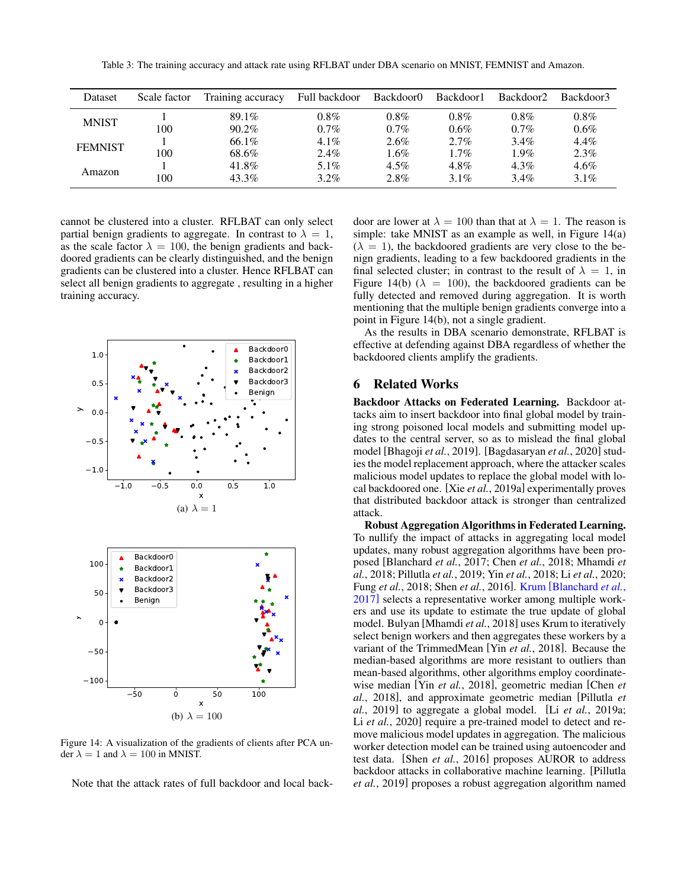Table 3: The training accuracy and attack rate using RFLBAT under DBA scenario on MNIST, FEMNIST and Amazon.

<span id="page-10-0"></span>

| Dataset        | Scale factor | Training accuracy | Full backdoor | Backdoor0 | Backdoor1 | Backdoor <sub>2</sub> | Backdoor3 |
|----------------|--------------|-------------------|---------------|-----------|-----------|-----------------------|-----------|
| <b>MNIST</b>   |              | 89.1%             | $0.8\%$       | $0.8\%$   | $0.8\%$   | $0.8\%$               | $0.8\%$   |
|                | 100          | $90.2\%$          | $0.7\%$       | $0.7\%$   | $0.6\%$   | $0.7\%$               | $0.6\%$   |
| <b>FEMNIST</b> |              | 66.1%             | $4.1\%$       | $2.6\%$   | $2.7\%$   | $3.4\%$               | $4.4\%$   |
|                | 100          | 68.6%             | 2.4%          | $1.6\%$   | $1.7\%$   | $1.9\%$               | $2.3\%$   |
| Amazon         |              | 41.8%             | $5.1\%$       | $4.5\%$   | $4.8\%$   | $4.3\%$               | $4.6\%$   |
|                | 100          | 43.3%             | $3.2\%$       | 2.8%      | $3.1\%$   | $3.4\%$               | $3.1\%$   |

cannot be clustered into a cluster. RFLBAT can only select partial benign gradients to aggregate. In contrast to  $\lambda = 1$ , as the scale factor  $\lambda = 100$ , the benign gradients and backdoored gradients can be clearly distinguished, and the benign gradients can be clustered into a cluster. Hence RFLBAT can select all benign gradients to aggregate , resulting in a higher training accuracy.

<span id="page-10-2"></span><span id="page-10-1"></span>

<span id="page-10-3"></span>Figure 14: A visualization of the gradients of clients after PCA under  $\lambda = 1$  and  $\lambda = 100$  in MNIST.

Note that the attack rates of full backdoor and local back-

door are lower at  $\lambda = 100$  than that at  $\lambda = 1$ . The reason is simple: take MNIST as an example as well, in Figure [14\(a\)](#page-10-2)  $(\lambda = 1)$ , the backdoored gradients are very close to the benign gradients, leading to a few backdoored gradients in the final selected cluster; in contrast to the result of  $\lambda = 1$ , in Figure [14\(b\)](#page-10-3) ( $\lambda = 100$ ), the backdoored gradients can be fully detected and removed during aggregation. It is worth mentioning that the multiple benign gradients converge into a point in Figure [14\(b\),](#page-10-3) not a single gradient.

As the results in DBA scenario demonstrate, RFLBAT is effective at defending against DBA regardless of whether the backdoored clients amplify the gradients.

### 6 Related Works

Backdoor Attacks on Federated Learning. Backdoor attacks aim to insert backdoor into final global model by training strong poisoned local models and submitting model updates to the central server, so as to mislead the final global model [\[Bhagoji](#page-11-6) *et al.*, 2019]. [\[Bagdasaryan](#page-11-0) *et al.*, 2020] studies the model replacement approach, where the attacker scales malicious model updates to replace the global model with local backdoored one. [Xie *et al.*[, 2019a\]](#page-12-2) experimentally proves that distributed backdoor attack is stronger than centralized attack.

Robust Aggregation Algorithms in Federated Learning. To nullify the impact of attacks in aggregating local model updates, many robust aggregation algorithms have been proposed [\[Blanchard](#page-11-7) *et al.*, 2017; Chen *et al.*[, 2018;](#page-11-8) [Mhamdi](#page-12-4) *et al.*[, 2018;](#page-12-4) [Pillutla](#page-12-5) *et al.*, 2019; Yin *et al.*[, 2018;](#page-12-6) Li *et al.*[, 2020;](#page-11-9) Fung *et al.*[, 2018;](#page-11-10) Shen *et al.*[, 2016\]](#page-12-7). Krum [\[Blanchard](#page-11-7) *et al.*, [2017\]](#page-11-7) selects a representative worker among multiple workers and use its update to estimate the true update of global model. Bulyan [\[Mhamdi](#page-12-4) *et al.*, 2018] uses Krum to iteratively select benign workers and then aggregates these workers by a variant of the TrimmedMean [Yin *et al.*[, 2018\]](#page-12-6). Because the median-based algorithms are more resistant to outliers than mean-based algorithms, other algorithms employ coordinatewise median [Yin *et al.*[, 2018\]](#page-12-6), geometric median [\[Chen](#page-11-8) *et al.*[, 2018\]](#page-11-8), and approximate geometric median [\[Pillutla](#page-12-5) *et al.*[, 2019\]](#page-12-5) to aggregate a global model. [Li *et al.*[, 2019a;](#page-11-16) Li *et al.*[, 2020\]](#page-11-9) require a pre-trained model to detect and remove malicious model updates in aggregation. The malicious worker detection model can be trained using autoencoder and test data. [Shen *et al.*[, 2016\]](#page-12-7) proposes AUROR to address backdoor attacks in collaborative machine learning. [\[Pillutla](#page-12-5) *et al.*[, 2019\]](#page-12-5) proposes a robust aggregation algorithm named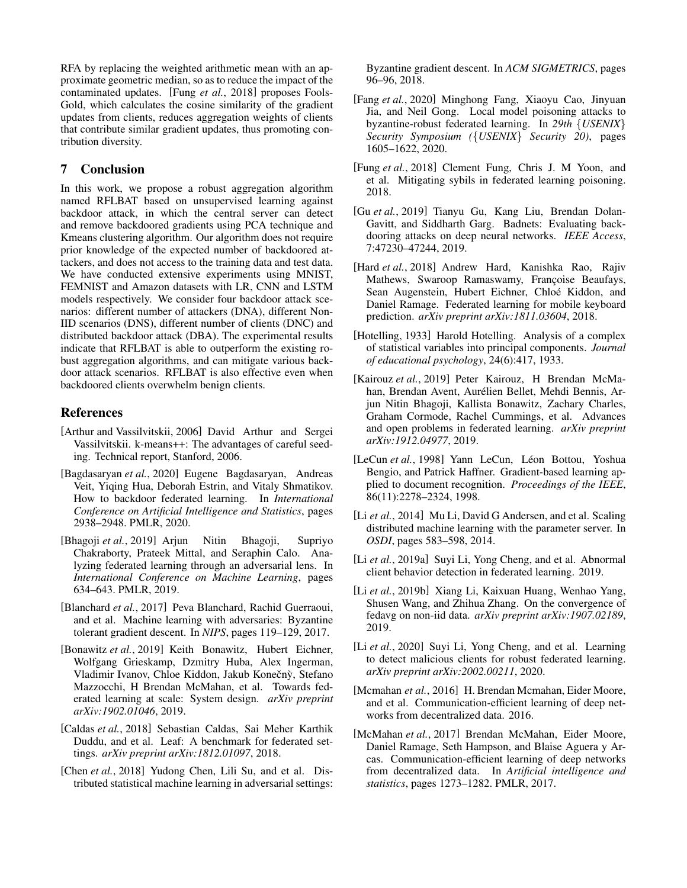RFA by replacing the weighted arithmetic mean with an approximate geometric median, so as to reduce the impact of the contaminated updates. [Fung *et al.*[, 2018\]](#page-11-10) proposes Fools-Gold, which calculates the cosine similarity of the gradient updates from clients, reduces aggregation weights of clients that contribute similar gradient updates, thus promoting contribution diversity.

## 7 Conclusion

In this work, we propose a robust aggregation algorithm named RFLBAT based on unsupervised learning against backdoor attack, in which the central server can detect and remove backdoored gradients using PCA technique and Kmeans clustering algorithm. Our algorithm does not require prior knowledge of the expected number of backdoored attackers, and does not access to the training data and test data. We have conducted extensive experiments using MNIST, FEMNIST and Amazon datasets with LR, CNN and LSTM models respectively. We consider four backdoor attack scenarios: different number of attackers (DNA), different Non-IID scenarios (DNS), different number of clients (DNC) and distributed backdoor attack (DBA). The experimental results indicate that RFLBAT is able to outperform the existing robust aggregation algorithms, and can mitigate various backdoor attack scenarios. RFLBAT is also effective even when backdoored clients overwhelm benign clients.

## References

- <span id="page-11-15"></span>[Arthur and Vassilvitskii, 2006] David Arthur and Sergei Vassilvitskii. k-means++: The advantages of careful seeding. Technical report, Stanford, 2006.
- <span id="page-11-0"></span>[Bagdasaryan *et al.*, 2020] Eugene Bagdasaryan, Andreas Veit, Yiqing Hua, Deborah Estrin, and Vitaly Shmatikov. How to backdoor federated learning. In *International Conference on Artificial Intelligence and Statistics*, pages 2938–2948. PMLR, 2020.
- <span id="page-11-6"></span>[Bhagoji *et al.*, 2019] Arjun Nitin Bhagoji, Supriyo Chakraborty, Prateek Mittal, and Seraphin Calo. Analyzing federated learning through an adversarial lens. In *International Conference on Machine Learning*, pages 634–643. PMLR, 2019.
- <span id="page-11-7"></span>[Blanchard *et al.*, 2017] Peva Blanchard, Rachid Guerraoui, and et al. Machine learning with adversaries: Byzantine tolerant gradient descent. In *NIPS*, pages 119–129, 2017.
- <span id="page-11-2"></span>[Bonawitz *et al.*, 2019] Keith Bonawitz, Hubert Eichner, Wolfgang Grieskamp, Dzmitry Huba, Alex Ingerman, Vladimir Ivanov, Chloe Kiddon, Jakub Konečný, Stefano Mazzocchi, H Brendan McMahan, et al. Towards federated learning at scale: System design. *arXiv preprint arXiv:1902.01046*, 2019.
- <span id="page-11-13"></span>[Caldas *et al.*, 2018] Sebastian Caldas, Sai Meher Karthik Duddu, and et al. Leaf: A benchmark for federated settings. *arXiv preprint arXiv:1812.01097*, 2018.
- <span id="page-11-8"></span>[Chen *et al.*, 2018] Yudong Chen, Lili Su, and et al. Distributed statistical machine learning in adversarial settings:

Byzantine gradient descent. In *ACM SIGMETRICS*, pages 96–96, 2018.

- <span id="page-11-11"></span>[Fang *et al.*, 2020] Minghong Fang, Xiaoyu Cao, Jinyuan Jia, and Neil Gong. Local model poisoning attacks to byzantine-robust federated learning. In *29th* {*USENIX*} *Security Symposium (*{*USENIX*} *Security 20)*, pages 1605–1622, 2020.
- <span id="page-11-10"></span>[Fung *et al.*, 2018] Clement Fung, Chris J. M Yoon, and et al. Mitigating sybils in federated learning poisoning. 2018.
- <span id="page-11-18"></span>[Gu *et al.*, 2019] Tianyu Gu, Kang Liu, Brendan Dolan-Gavitt, and Siddharth Garg. Badnets: Evaluating backdooring attacks on deep neural networks. *IEEE Access*, 7:47230–47244, 2019.
- <span id="page-11-3"></span>[Hard *et al.*, 2018] Andrew Hard, Kanishka Rao, Rajiv Mathews, Swaroop Ramaswamy, Françoise Beaufays, Sean Augenstein, Hubert Eichner, Chloé Kiddon, and Daniel Ramage. Federated learning for mobile keyboard prediction. *arXiv preprint arXiv:1811.03604*, 2018.
- <span id="page-11-14"></span>[Hotelling, 1933] Harold Hotelling. Analysis of a complex of statistical variables into principal components. *Journal of educational psychology*, 24(6):417, 1933.
- <span id="page-11-1"></span>[Kairouz *et al.*, 2019] Peter Kairouz, H Brendan McMahan, Brendan Avent, Aurélien Bellet, Mehdi Bennis, Arjun Nitin Bhagoji, Kallista Bonawitz, Zachary Charles, Graham Cormode, Rachel Cummings, et al. Advances and open problems in federated learning. *arXiv preprint arXiv:1912.04977*, 2019.
- <span id="page-11-12"></span>[LeCun *et al.*, 1998] Yann LeCun, Léon Bottou, Yoshua Bengio, and Patrick Haffner. Gradient-based learning applied to document recognition. *Proceedings of the IEEE*, 86(11):2278–2324, 1998.
- <span id="page-11-4"></span>[Li *et al.*, 2014] Mu Li, David G Andersen, and et al. Scaling distributed machine learning with the parameter server. In *OSDI*, pages 583–598, 2014.
- <span id="page-11-16"></span>[Li *et al.*, 2019a] Suyi Li, Yong Cheng, and et al. Abnormal client behavior detection in federated learning. 2019.
- <span id="page-11-19"></span>[Li *et al.*, 2019b] Xiang Li, Kaixuan Huang, Wenhao Yang, Shusen Wang, and Zhihua Zhang. On the convergence of fedavg on non-iid data. *arXiv preprint arXiv:1907.02189*, 2019.
- <span id="page-11-9"></span>[Li et al., 2020] Suyi Li, Yong Cheng, and et al. Learning to detect malicious clients for robust federated learning. *arXiv preprint arXiv:2002.00211*, 2020.
- <span id="page-11-5"></span>[Mcmahan et al., 2016] H. Brendan Mcmahan, Eider Moore, and et al. Communication-efficient learning of deep networks from decentralized data. 2016.
- <span id="page-11-17"></span>[McMahan *et al.*, 2017] Brendan McMahan, Eider Moore, Daniel Ramage, Seth Hampson, and Blaise Aguera y Arcas. Communication-efficient learning of deep networks from decentralized data. In *Artificial intelligence and statistics*, pages 1273–1282. PMLR, 2017.